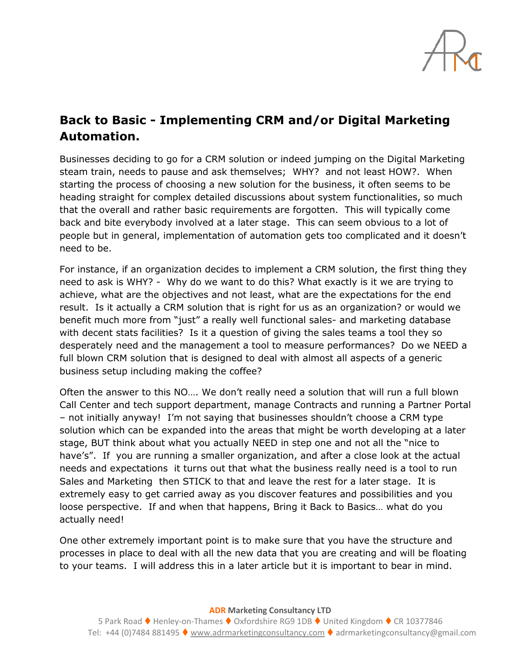

## **Back to Basic - Implementing CRM and/or Digital Marketing Automation.**

Businesses deciding to go for a CRM solution or indeed jumping on the Digital Marketing steam train, needs to pause and ask themselves; WHY? and not least HOW?. When starting the process of choosing a new solution for the business, it often seems to be heading straight for complex detailed discussions about system functionalities, so much that the overall and rather basic requirements are forgotten. This will typically come back and bite everybody involved at a later stage. This can seem obvious to a lot of people but in general, implementation of automation gets too complicated and it doesn't need to be.

For instance, if an organization decides to implement a CRM solution, the first thing they need to ask is WHY? - Why do we want to do this? What exactly is it we are trying to achieve, what are the objectives and not least, what are the expectations for the end result. Is it actually a CRM solution that is right for us as an organization? or would we benefit much more from "just" a really well functional sales- and marketing database with decent stats facilities? Is it a question of giving the sales teams a tool they so desperately need and the management a tool to measure performances? Do we NEED a full blown CRM solution that is designed to deal with almost all aspects of a generic business setup including making the coffee?

Often the answer to this NO…. We don't really need a solution that will run a full blown Call Center and tech support department, manage Contracts and running a Partner Portal – not initially anyway! I'm not saying that businesses shouldn't choose a CRM type solution which can be expanded into the areas that might be worth developing at a later stage, BUT think about what you actually NEED in step one and not all the "nice to have's". If you are running a smaller organization, and after a close look at the actual needs and expectations it turns out that what the business really need is a tool to run Sales and Marketing then STICK to that and leave the rest for a later stage. It is extremely easy to get carried away as you discover features and possibilities and you loose perspective. If and when that happens, Bring it Back to Basics… what do you actually need!

One other extremely important point is to make sure that you have the structure and processes in place to deal with all the new data that you are creating and will be floating to your teams. I will address this in a later article but it is important to bear in mind.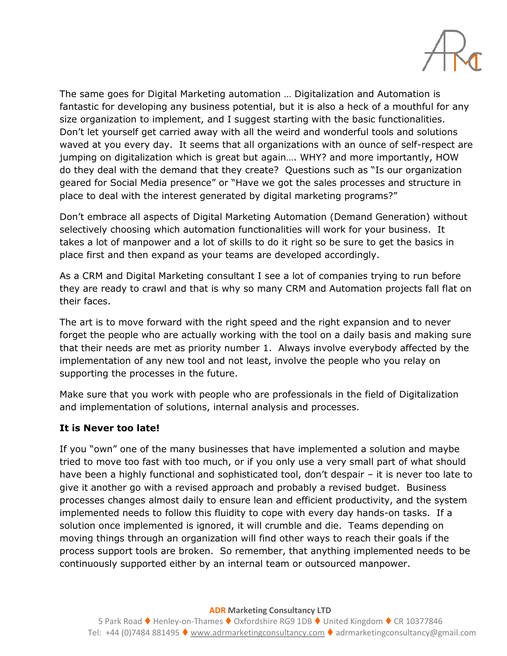

The same goes for Digital Marketing automation … Digitalization and Automation is fantastic for developing any business potential, but it is also a heck of a mouthful for any size organization to implement, and I suggest starting with the basic functionalities. Don't let yourself get carried away with all the weird and wonderful tools and solutions waved at you every day. It seems that all organizations with an ounce of self-respect are jumping on digitalization which is great but again…. WHY? and more importantly, HOW do they deal with the demand that they create? Questions such as "Is our organization geared for Social Media presence" or "Have we got the sales processes and structure in place to deal with the interest generated by digital marketing programs?"

Don't embrace all aspects of Digital Marketing Automation (Demand Generation) without selectively choosing which automation functionalities will work for your business. It takes a lot of manpower and a lot of skills to do it right so be sure to get the basics in place first and then expand as your teams are developed accordingly.

As a CRM and Digital Marketing consultant I see a lot of companies trying to run before they are ready to crawl and that is why so many CRM and Automation projects fall flat on their faces.

The art is to move forward with the right speed and the right expansion and to never forget the people who are actually working with the tool on a daily basis and making sure that their needs are met as priority number 1. Always involve everybody affected by the implementation of any new tool and not least, involve the people who you relay on supporting the processes in the future.

Make sure that you work with people who are professionals in the field of Digitalization and implementation of solutions, internal analysis and processes.

## **It is Never too late!**

If you "own" one of the many businesses that have implemented a solution and maybe tried to move too fast with too much, or if you only use a very small part of what should have been a highly functional and sophisticated tool, don't despair – it is never too late to give it another go with a revised approach and probably a revised budget. Business processes changes almost daily to ensure lean and efficient productivity, and the system implemented needs to follow this fluidity to cope with every day hands-on tasks. If a solution once implemented is ignored, it will crumble and die. Teams depending on moving things through an organization will find other ways to reach their goals if the process support tools are broken. So remember, that anything implemented needs to be continuously supported either by an internal team or outsourced manpower.